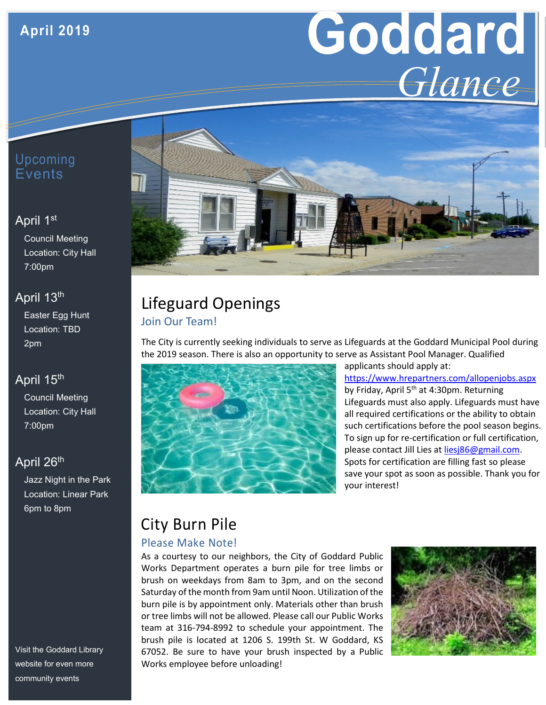# **April 2019**

# **Goddard** *Glance*

## Upcoming Events

#### April 1st

Council Meeting Location: City Hall 7:00pm

## April 13<sup>th</sup>

Easter Egg Hunt Location: TBD 2pm

## April 15<sup>th</sup>

Council Meeting Location: City Hall 7:00pm

## April 26<sup>th</sup>

Jazz Night in the Park Location: Linear Park 6pm to 8pm

Visit the Goddard Library website for even more community events



# Lifeguard Openings Join Our Team!

The City is currently seeking individuals to serve as Lifeguards at the Goddard Municipal Pool during the 2019 season. There is also an opportunity to serve as Assistant Pool Manager. Qualified



applicants should apply at: <https://www.hrepartners.com/allopenjobs.aspx> by Friday, April  $5<sup>th</sup>$  at 4:30pm. Returning Lifeguards must also apply. Lifeguards must have all required certifications or the ability to obtain such certifications before the pool season begins. To sign up for re-certification or full certification, please contact Jill Lies at [liesj86@gmail.com.](mailto:liesj86@gmail.com) Spots for certification are filling fast so please save your spot as soon as possible. Thank you for your interest!

# City Burn Pile

#### Please Make Note!

As a courtesy to our neighbors, the City of Goddard Public Works Department operates a burn pile for tree limbs or brush on weekdays from 8am to 3pm, and on the second Saturday of the month from 9am until Noon. Utilization of the burn pile is by appointment only. Materials other than brush or tree limbs will not be allowed. Please call our Public Works team at 316-794-8992 to schedule your appointment. The brush pile is located at 1206 S. 199th St. W Goddard, KS 67052. Be sure to have your brush inspected by a Public Works employee before unloading!